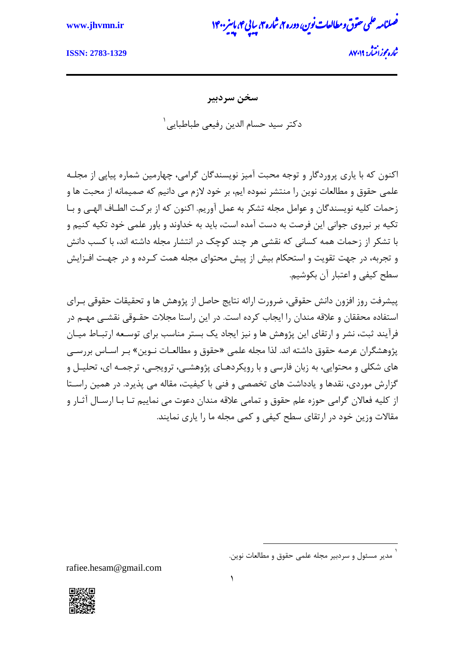## **www.jhvmn.ir** 0411 پا

.<br>ضمانامه علمی حقوق و مطالعات نوین، دوره ۲، شاره ۲، سایی ۴، باسر ی و ن ش پ یی

وز ااشتنر: **2783-1329 :ISSN**

مج ناره محزرانت<sup>4</sup>ر: ۸۷۰۱۹

**سخن سردبیر** دکتر سید حسام الدین رفیعی طباطبایی<sup>۱</sup>

اکنون که با یاری پروردگار و توجه محبت آمیز نویسندگان گرامی، چهارمین شماره پیاپی از مجلـه علمی حقوق و مطالعات نوین را منتشر نموده ایم، بر خود لازم می دانیم که صمیمانه از محبت ها و زحمات کلیه نویسندگان و عوامل مجله تشکر به عمل آوریم. اکنون که از برکـت الطـاف الهبے، و بـا تکیه بر نیروی جوانی این فرصت به دست آمده است، باید به خداوند و باور علمی خود تکیه کنیم و با تشکر از زحمات همه کسانی که نقشی هر چند کوچک در انتشار مجله داشته اند، با کسب دانش و تجربه، در جهت تقویت و استحکام بیش از پیش محتوای مجله همت کـرده و در جهـت افـزایش سطح کیفی و اعتبار آن بکوشیم.

پیشرفت روز افزون دانش حقوقی، ضرورت ارائه نتایج حاصل از پژوهش ها و تحقیقات حقوقی بـرای استفاده محققان و علاقه مندان را ایجاب کرده است. در این راستا مجلات حقـوقی نقشـی مهـم در فرآیند ثبت، نشر و ارتقای این پژوهش ها و نیز ایجاد یک بستر مناسب برای توسـعه ارتبـاط میـان پژوهشگران عرصه حقوق داشته اند. لذا مجله علمی «حقوق و مطالعـات نـوین» بـر اسـاس بررسـی های شکلی و محتوایی، به زبان فارسی و با رویکردهـای پژوهشـی، ترویجـی، ترجمـه ای، تحلیـل و گزارش موردی، نقدها و یادداشت های تخصصی و فنی با کیفیت، مقاله می پذیرد. در همین راسـتا از کلیه فعالان گرامی حوزه علم حقوق و تمامی علاقه مندان دعوت می نماییم تـا بـا ارسـال آثـار و مقالات وزین خود در ارتقای سطح کیفی و کمی مجله ما را یاری نمایند.

rafiee.hesam@gmail.com



1

<sup>1</sup> مدیر مسئول و سردبیر مجله علمی حقوق و مطالعات نوین.